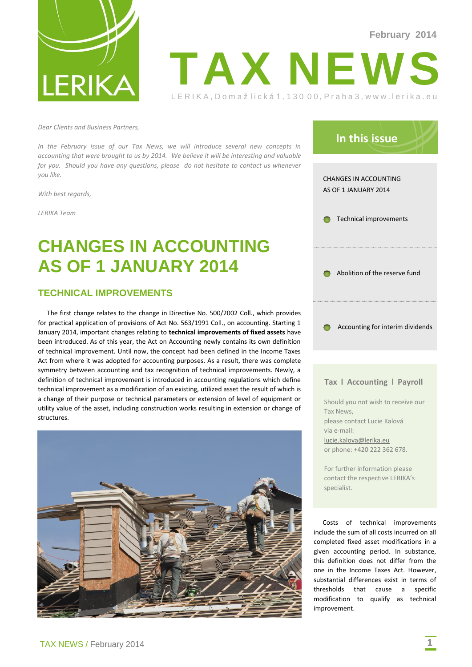



*Dear Clients and Business Partners,*

*In the February issue of our Tax News, we will introduce several new concepts in accounting that were brought to us by 2014. We believe it will be interesting and valuable for you. Should you have any questions, please do not hesitate to contact us whenever you like.*

*With best regards,*

*LERIKA Team*

# **CHANGES IN ACCOUNTING AS OF 1 JANUARY 2014**

### **TECHNICAL IMPROVEMENTS**

The first change relates to the change in Directive No. 500/2002 Coll., which provides for practical application of provisions of Act No. 563/1991 Coll., on accounting. Starting 1 January 2014, important changes relating to **technical improvements of fixed assets** have been introduced. As of this year, the Act on Accounting newly contains its own definition of technical improvement. Until now, the concept had been defined in the Income Taxes Act from where it was adopted for accounting purposes. As a result, there was complete symmetry between accounting and tax recognition of technical improvements. Newly, a definition of technical improvement is introduced in accounting regulations which define technical improvement as a modification of an existing, utilized asset the result of which is a change of their purpose or technical parameters or extension of level of equipment or utility value of the asset, including construction works resulting in extension or change of structures.





#### **Tax l Accounting l Payroll**

Should you not wish to receive our Tax News, please contact Lucie Kalová via e-mail: [lucie.kalova@lerika.eu](mailto:lucie.kalova@lerika.eu) or phone: +420 222 362 678.

For further information please contact the respective LERIKA's specialist.

Costs of technical improvements include the sum of all costs incurred on all completed fixed asset modifications in a given accounting period. In substance, this definition does not differ from the one in the Income Taxes Act. However, substantial differences exist in terms of thresholds that cause a specific modification to qualify as technical improvement.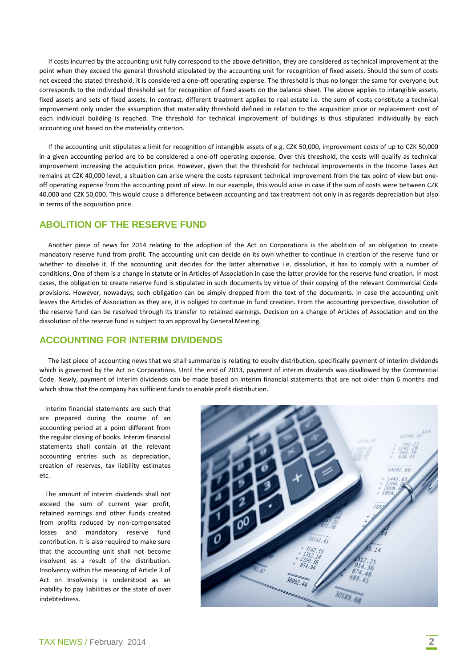If costs incurred by the accounting unit fully correspond to the above definition, they are considered as technical improvement at the point when they exceed the general threshold stipulated by the accounting unit for recognition of fixed assets. Should the sum of costs not exceed the stated threshold, it is considered a one-off operating expense. The threshold is thus no longer the same for everyone but corresponds to the individual threshold set for recognition of fixed assets on the balance sheet. The above applies to intangible assets, fixed assets and sets of fixed assets. In contrast, different treatment applies to real estate i.e. the sum of costs constitute a technical improvement only under the assumption that materiality threshold defined in relation to the acquisition price or replacement cost of each individual building is reached. The threshold for technical improvement of buildings is thus stipulated individually by each accounting unit based on the materiality criterion.

If the accounting unit stipulates a limit for recognition of intangible assets of e.g. CZK 50,000, improvement costs of up to CZK 50,000 in a given accounting period are to be considered a one-off operating expense. Over this threshold, the costs will qualify as technical improvement increasing the acquisition price. However, given that the threshold for technical improvements in the Income Taxes Act remains at CZK 40,000 level, a situation can arise where the costs represent technical improvement from the tax point of view but oneoff operating expense from the accounting point of view. In our example, this would arise in case if the sum of costs were between CZK 40,000 and CZK 50,000. This would cause a difference between accounting and tax treatment not only in as regards depreciation but also in terms of the acquisition price.

## **ABOLITION OF THE RESERVE FUND**

Another piece of news for 2014 relating to the adoption of the Act on Corporations is the abolition of an obligation to create mandatory reserve fund from profit. The accounting unit can decide on its own whether to continue in creation of the reserve fund or whether to dissolve it. If the accounting unit decides for the latter alternative i.e. dissolution, it has to comply with a number of conditions. One of them is a change in statute or in Articles of Association in case the latter provide for the reserve fund creation. In most cases, the obligation to create reserve fund is stipulated in such documents by virtue of their copying of the relevant Commercial Code provisions. However, nowadays, such obligation can be simply dropped from the text of the documents. In case the accounting unit leaves the Articles of Association as they are, it is obliged to continue in fund creation. From the accounting perspective, dissolution of the reserve fund can be resolved through its transfer to retained earnings. Decision on a change of Articles of Association and on the dissolution of the reserve fund is subject to an approval by General Meeting.

#### **ACCOUNTING FOR INTERIM DIVIDENDS**

The last piece of accounting news that we shall summarize is relating to equity distribution, specifically payment of interim dividends which is governed by the Act on Corporations. Until the end of 2013, payment of interim dividends was disallowed by the Commercial Code. Newly, payment of interim dividends can be made based on interim financial statements that are not older than 6 months and which show that the company has sufficient funds to enable profit distribution.

Interim financial statements are such that are prepared during the course of an accounting period at a point different from the regular closing of books. Interim financial statements shall contain all the relevant accounting entries such as depreciation, creation of reserves, tax liability estimates etc.

The amount of interim dividends shall not exceed the sum of current year profit, retained earnings and other funds created from profits reduced by non-compensated losses and mandatory reserve fund contribution. It is also required to make sure that the accounting unit shall not become insolvent as a result of the distribution. Insolvency within the meaning of Article 3 of Act on Insolvency is understood as an inability to pay liabilities or the state of over indebtedness.